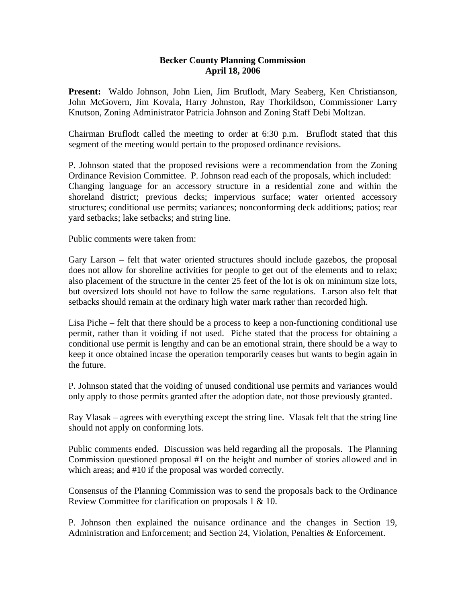## **Becker County Planning Commission April 18, 2006**

**Present:** Waldo Johnson, John Lien, Jim Bruflodt, Mary Seaberg, Ken Christianson, John McGovern, Jim Kovala, Harry Johnston, Ray Thorkildson, Commissioner Larry Knutson, Zoning Administrator Patricia Johnson and Zoning Staff Debi Moltzan.

Chairman Bruflodt called the meeting to order at 6:30 p.m. Bruflodt stated that this segment of the meeting would pertain to the proposed ordinance revisions.

P. Johnson stated that the proposed revisions were a recommendation from the Zoning Ordinance Revision Committee. P. Johnson read each of the proposals, which included: Changing language for an accessory structure in a residential zone and within the shoreland district; previous decks; impervious surface; water oriented accessory structures; conditional use permits; variances; nonconforming deck additions; patios; rear yard setbacks; lake setbacks; and string line.

Public comments were taken from:

Gary Larson – felt that water oriented structures should include gazebos, the proposal does not allow for shoreline activities for people to get out of the elements and to relax; also placement of the structure in the center 25 feet of the lot is ok on minimum size lots, but oversized lots should not have to follow the same regulations. Larson also felt that setbacks should remain at the ordinary high water mark rather than recorded high.

Lisa Piche – felt that there should be a process to keep a non-functioning conditional use permit, rather than it voiding if not used. Piche stated that the process for obtaining a conditional use permit is lengthy and can be an emotional strain, there should be a way to keep it once obtained incase the operation temporarily ceases but wants to begin again in the future.

P. Johnson stated that the voiding of unused conditional use permits and variances would only apply to those permits granted after the adoption date, not those previously granted.

Ray Vlasak – agrees with everything except the string line. Vlasak felt that the string line should not apply on conforming lots.

Public comments ended. Discussion was held regarding all the proposals. The Planning Commission questioned proposal #1 on the height and number of stories allowed and in which areas; and #10 if the proposal was worded correctly.

Consensus of the Planning Commission was to send the proposals back to the Ordinance Review Committee for clarification on proposals 1 & 10.

P. Johnson then explained the nuisance ordinance and the changes in Section 19, Administration and Enforcement; and Section 24, Violation, Penalties & Enforcement.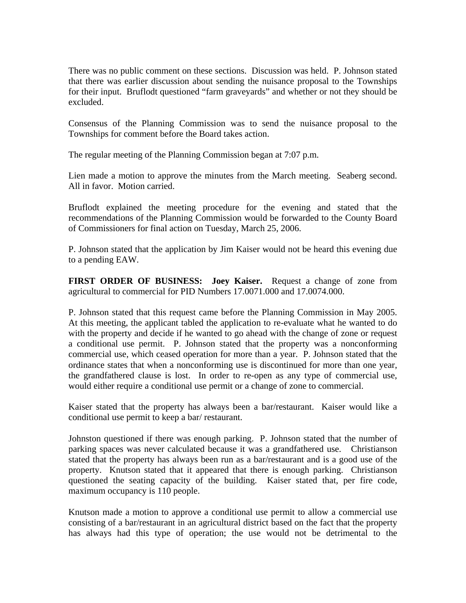There was no public comment on these sections. Discussion was held. P. Johnson stated that there was earlier discussion about sending the nuisance proposal to the Townships for their input. Bruflodt questioned "farm graveyards" and whether or not they should be excluded.

Consensus of the Planning Commission was to send the nuisance proposal to the Townships for comment before the Board takes action.

The regular meeting of the Planning Commission began at 7:07 p.m.

Lien made a motion to approve the minutes from the March meeting. Seaberg second. All in favor. Motion carried.

Bruflodt explained the meeting procedure for the evening and stated that the recommendations of the Planning Commission would be forwarded to the County Board of Commissioners for final action on Tuesday, March 25, 2006.

P. Johnson stated that the application by Jim Kaiser would not be heard this evening due to a pending EAW.

**FIRST ORDER OF BUSINESS: Joey Kaiser.** Request a change of zone from agricultural to commercial for PID Numbers 17.0071.000 and 17.0074.000.

P. Johnson stated that this request came before the Planning Commission in May 2005. At this meeting, the applicant tabled the application to re-evaluate what he wanted to do with the property and decide if he wanted to go ahead with the change of zone or request a conditional use permit. P. Johnson stated that the property was a nonconforming commercial use, which ceased operation for more than a year. P. Johnson stated that the ordinance states that when a nonconforming use is discontinued for more than one year, the grandfathered clause is lost. In order to re-open as any type of commercial use, would either require a conditional use permit or a change of zone to commercial.

Kaiser stated that the property has always been a bar/restaurant. Kaiser would like a conditional use permit to keep a bar/ restaurant.

Johnston questioned if there was enough parking. P. Johnson stated that the number of parking spaces was never calculated because it was a grandfathered use. Christianson stated that the property has always been run as a bar/restaurant and is a good use of the property. Knutson stated that it appeared that there is enough parking. Christianson questioned the seating capacity of the building. Kaiser stated that, per fire code, maximum occupancy is 110 people.

Knutson made a motion to approve a conditional use permit to allow a commercial use consisting of a bar/restaurant in an agricultural district based on the fact that the property has always had this type of operation; the use would not be detrimental to the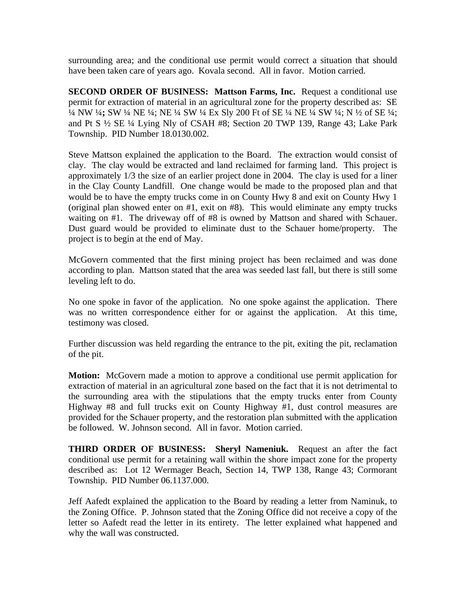surrounding area; and the conditional use permit would correct a situation that should have been taken care of years ago. Kovala second. All in favor. Motion carried.

**SECOND ORDER OF BUSINESS: Mattson Farms, Inc.** Request a conditional use permit for extraction of material in an agricultural zone for the property described as: SE ¼ NW ¼**;** SW ¼ NE ¼; NE ¼ SW ¼ Ex Sly 200 Ft of SE ¼ NE ¼ SW ¼; N ½ of SE ¼; and Pt S ½ SE ¼ Lying Nly of CSAH #8; Section 20 TWP 139, Range 43; Lake Park Township. PID Number 18.0130.002.

Steve Mattson explained the application to the Board. The extraction would consist of clay. The clay would be extracted and land reclaimed for farming land. This project is approximately 1/3 the size of an earlier project done in 2004. The clay is used for a liner in the Clay County Landfill. One change would be made to the proposed plan and that would be to have the empty trucks come in on County Hwy 8 and exit on County Hwy 1 (original plan showed enter on #1, exit on #8). This would eliminate any empty trucks waiting on #1. The driveway off of #8 is owned by Mattson and shared with Schauer. Dust guard would be provided to eliminate dust to the Schauer home/property. The project is to begin at the end of May.

McGovern commented that the first mining project has been reclaimed and was done according to plan. Mattson stated that the area was seeded last fall, but there is still some leveling left to do.

No one spoke in favor of the application. No one spoke against the application. There was no written correspondence either for or against the application. At this time, testimony was closed.

Further discussion was held regarding the entrance to the pit, exiting the pit, reclamation of the pit.

**Motion:** McGovern made a motion to approve a conditional use permit application for extraction of material in an agricultural zone based on the fact that it is not detrimental to the surrounding area with the stipulations that the empty trucks enter from County Highway #8 and full trucks exit on County Highway #1, dust control measures are provided for the Schauer property, and the restoration plan submitted with the application be followed. W. Johnson second. All in favor. Motion carried.

**THIRD ORDER OF BUSINESS: Sheryl Nameniuk.** Request an after the fact conditional use permit for a retaining wall within the shore impact zone for the property described as: Lot 12 Wermager Beach, Section 14, TWP 138, Range 43; Cormorant Township. PID Number 06.1137.000.

Jeff Aafedt explained the application to the Board by reading a letter from Naminuk, to the Zoning Office. P. Johnson stated that the Zoning Office did not receive a copy of the letter so Aafedt read the letter in its entirety. The letter explained what happened and why the wall was constructed.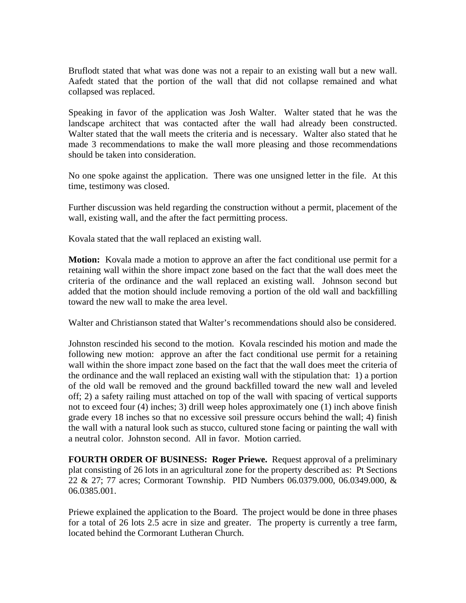Bruflodt stated that what was done was not a repair to an existing wall but a new wall. Aafedt stated that the portion of the wall that did not collapse remained and what collapsed was replaced.

Speaking in favor of the application was Josh Walter. Walter stated that he was the landscape architect that was contacted after the wall had already been constructed. Walter stated that the wall meets the criteria and is necessary. Walter also stated that he made 3 recommendations to make the wall more pleasing and those recommendations should be taken into consideration.

No one spoke against the application. There was one unsigned letter in the file. At this time, testimony was closed.

Further discussion was held regarding the construction without a permit, placement of the wall, existing wall, and the after the fact permitting process.

Kovala stated that the wall replaced an existing wall.

**Motion:** Kovala made a motion to approve an after the fact conditional use permit for a retaining wall within the shore impact zone based on the fact that the wall does meet the criteria of the ordinance and the wall replaced an existing wall. Johnson second but added that the motion should include removing a portion of the old wall and backfilling toward the new wall to make the area level.

Walter and Christianson stated that Walter's recommendations should also be considered.

Johnston rescinded his second to the motion. Kovala rescinded his motion and made the following new motion: approve an after the fact conditional use permit for a retaining wall within the shore impact zone based on the fact that the wall does meet the criteria of the ordinance and the wall replaced an existing wall with the stipulation that: 1) a portion of the old wall be removed and the ground backfilled toward the new wall and leveled off; 2) a safety railing must attached on top of the wall with spacing of vertical supports not to exceed four (4) inches; 3) drill weep holes approximately one (1) inch above finish grade every 18 inches so that no excessive soil pressure occurs behind the wall; 4) finish the wall with a natural look such as stucco, cultured stone facing or painting the wall with a neutral color. Johnston second. All in favor. Motion carried.

**FOURTH ORDER OF BUSINESS: Roger Priewe.** Request approval of a preliminary plat consisting of 26 lots in an agricultural zone for the property described as: Pt Sections 22 & 27; 77 acres; Cormorant Township. PID Numbers 06.0379.000, 06.0349.000, & 06.0385.001.

Priewe explained the application to the Board. The project would be done in three phases for a total of 26 lots 2.5 acre in size and greater. The property is currently a tree farm, located behind the Cormorant Lutheran Church.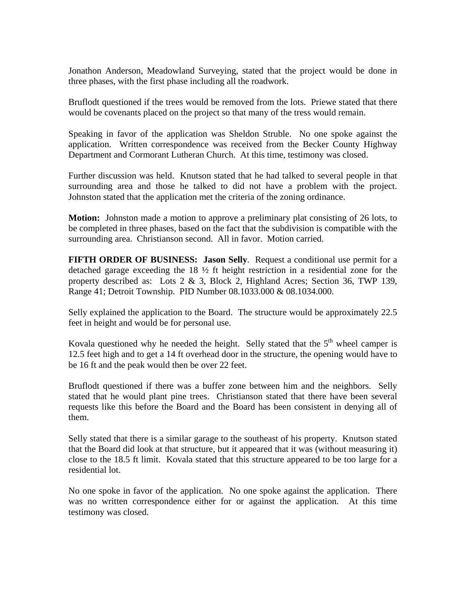Jonathon Anderson, Meadowland Surveying, stated that the project would be done in three phases, with the first phase including all the roadwork.

Bruflodt questioned if the trees would be removed from the lots. Priewe stated that there would be covenants placed on the project so that many of the tress would remain.

Speaking in favor of the application was Sheldon Struble. No one spoke against the application. Written correspondence was received from the Becker County Highway Department and Cormorant Lutheran Church. At this time, testimony was closed.

Further discussion was held. Knutson stated that he had talked to several people in that surrounding area and those he talked to did not have a problem with the project. Johnston stated that the application met the criteria of the zoning ordinance.

**Motion:** Johnston made a motion to approve a preliminary plat consisting of 26 lots, to be completed in three phases, based on the fact that the subdivision is compatible with the surrounding area. Christianson second. All in favor. Motion carried.

**FIFTH ORDER OF BUSINESS: Jason Selly**. Request a conditional use permit for a detached garage exceeding the 18 ½ ft height restriction in a residential zone for the property described as: Lots 2 & 3, Block 2, Highland Acres; Section 36, TWP 139, Range 41; Detroit Township. PID Number 08.1033.000 & 08.1034.000.

Selly explained the application to the Board. The structure would be approximately 22.5 feet in height and would be for personal use.

Kovala questioned why he needed the height. Selly stated that the  $5<sup>th</sup>$  wheel camper is 12.5 feet high and to get a 14 ft overhead door in the structure, the opening would have to be 16 ft and the peak would then be over 22 feet.

Bruflodt questioned if there was a buffer zone between him and the neighbors. Selly stated that he would plant pine trees. Christianson stated that there have been several requests like this before the Board and the Board has been consistent in denying all of them.

Selly stated that there is a similar garage to the southeast of his property. Knutson stated that the Board did look at that structure, but it appeared that it was (without measuring it) close to the 18.5 ft limit. Kovala stated that this structure appeared to be too large for a residential lot.

No one spoke in favor of the application. No one spoke against the application. There was no written correspondence either for or against the application. At this time testimony was closed.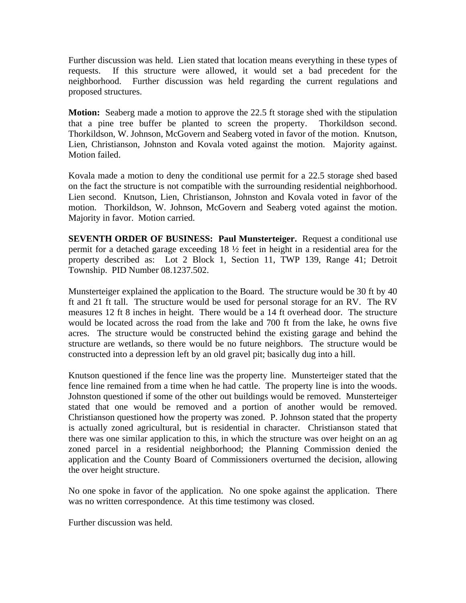Further discussion was held. Lien stated that location means everything in these types of requests. If this structure were allowed, it would set a bad precedent for the neighborhood. Further discussion was held regarding the current regulations and proposed structures.

**Motion:** Seaberg made a motion to approve the 22.5 ft storage shed with the stipulation that a pine tree buffer be planted to screen the property. Thorkildson second. Thorkildson, W. Johnson, McGovern and Seaberg voted in favor of the motion. Knutson, Lien, Christianson, Johnston and Kovala voted against the motion. Majority against. Motion failed.

Kovala made a motion to deny the conditional use permit for a 22.5 storage shed based on the fact the structure is not compatible with the surrounding residential neighborhood. Lien second. Knutson, Lien, Christianson, Johnston and Kovala voted in favor of the motion. Thorkildson, W. Johnson, McGovern and Seaberg voted against the motion. Majority in favor. Motion carried.

**SEVENTH ORDER OF BUSINESS: Paul Munsterteiger.** Request a conditional use permit for a detached garage exceeding 18 ½ feet in height in a residential area for the property described as: Lot 2 Block 1, Section 11, TWP 139, Range 41; Detroit Township. PID Number 08.1237.502.

Munsterteiger explained the application to the Board. The structure would be 30 ft by 40 ft and 21 ft tall. The structure would be used for personal storage for an RV. The RV measures 12 ft 8 inches in height. There would be a 14 ft overhead door. The structure would be located across the road from the lake and 700 ft from the lake, he owns five acres. The structure would be constructed behind the existing garage and behind the structure are wetlands, so there would be no future neighbors. The structure would be constructed into a depression left by an old gravel pit; basically dug into a hill.

Knutson questioned if the fence line was the property line. Munsterteiger stated that the fence line remained from a time when he had cattle. The property line is into the woods. Johnston questioned if some of the other out buildings would be removed. Munsterteiger stated that one would be removed and a portion of another would be removed. Christianson questioned how the property was zoned. P. Johnson stated that the property is actually zoned agricultural, but is residential in character. Christianson stated that there was one similar application to this, in which the structure was over height on an ag zoned parcel in a residential neighborhood; the Planning Commission denied the application and the County Board of Commissioners overturned the decision, allowing the over height structure.

No one spoke in favor of the application. No one spoke against the application. There was no written correspondence. At this time testimony was closed.

Further discussion was held.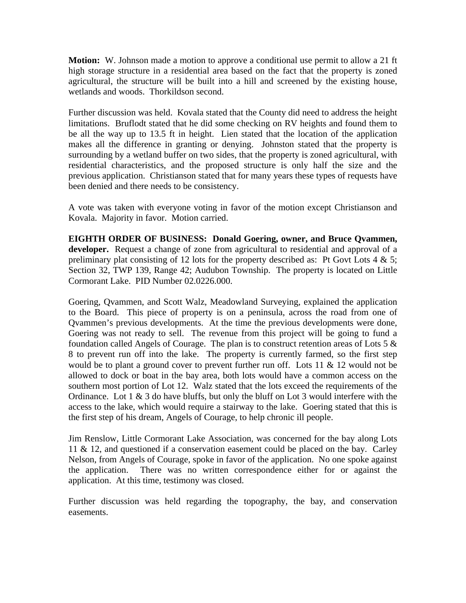**Motion:** W. Johnson made a motion to approve a conditional use permit to allow a 21 ft high storage structure in a residential area based on the fact that the property is zoned agricultural, the structure will be built into a hill and screened by the existing house, wetlands and woods. Thorkildson second.

Further discussion was held. Kovala stated that the County did need to address the height limitations. Bruflodt stated that he did some checking on RV heights and found them to be all the way up to 13.5 ft in height. Lien stated that the location of the application makes all the difference in granting or denying. Johnston stated that the property is surrounding by a wetland buffer on two sides, that the property is zoned agricultural, with residential characteristics, and the proposed structure is only half the size and the previous application. Christianson stated that for many years these types of requests have been denied and there needs to be consistency.

A vote was taken with everyone voting in favor of the motion except Christianson and Kovala. Majority in favor. Motion carried.

**EIGHTH ORDER OF BUSINESS: Donald Goering, owner, and Bruce Qvammen, developer.** Request a change of zone from agricultural to residential and approval of a preliminary plat consisting of 12 lots for the property described as: Pt Govt Lots  $4 \& 5$ ; Section 32, TWP 139, Range 42; Audubon Township. The property is located on Little Cormorant Lake. PID Number 02.0226.000.

Goering, Qvammen, and Scott Walz, Meadowland Surveying, explained the application to the Board. This piece of property is on a peninsula, across the road from one of Qvammen's previous developments. At the time the previous developments were done, Goering was not ready to sell. The revenue from this project will be going to fund a foundation called Angels of Courage. The plan is to construct retention areas of Lots 5 & 8 to prevent run off into the lake. The property is currently farmed, so the first step would be to plant a ground cover to prevent further run off. Lots 11 & 12 would not be allowed to dock or boat in the bay area, both lots would have a common access on the southern most portion of Lot 12. Walz stated that the lots exceed the requirements of the Ordinance. Lot  $1 \& 3$  do have bluffs, but only the bluff on Lot 3 would interfere with the access to the lake, which would require a stairway to the lake. Goering stated that this is the first step of his dream, Angels of Courage, to help chronic ill people.

Jim Renslow, Little Cormorant Lake Association, was concerned for the bay along Lots 11 & 12, and questioned if a conservation easement could be placed on the bay. Carley Nelson, from Angels of Courage, spoke in favor of the application. No one spoke against the application. There was no written correspondence either for or against the application. At this time, testimony was closed.

Further discussion was held regarding the topography, the bay, and conservation easements.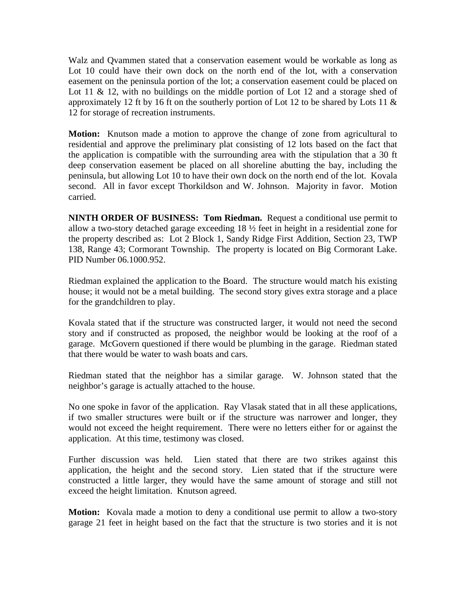Walz and Qvammen stated that a conservation easement would be workable as long as Lot 10 could have their own dock on the north end of the lot, with a conservation easement on the peninsula portion of the lot; a conservation easement could be placed on Lot 11 & 12, with no buildings on the middle portion of Lot 12 and a storage shed of approximately 12 ft by 16 ft on the southerly portion of Lot 12 to be shared by Lots 11  $\&$ 12 for storage of recreation instruments.

**Motion:** Knutson made a motion to approve the change of zone from agricultural to residential and approve the preliminary plat consisting of 12 lots based on the fact that the application is compatible with the surrounding area with the stipulation that a 30 ft deep conservation easement be placed on all shoreline abutting the bay, including the peninsula, but allowing Lot 10 to have their own dock on the north end of the lot. Kovala second. All in favor except Thorkildson and W. Johnson. Majority in favor. Motion carried.

**NINTH ORDER OF BUSINESS: Tom Riedman.** Request a conditional use permit to allow a two-story detached garage exceeding 18 ½ feet in height in a residential zone for the property described as: Lot 2 Block 1, Sandy Ridge First Addition, Section 23, TWP 138, Range 43; Cormorant Township. The property is located on Big Cormorant Lake. PID Number 06.1000.952.

Riedman explained the application to the Board. The structure would match his existing house; it would not be a metal building. The second story gives extra storage and a place for the grandchildren to play.

Kovala stated that if the structure was constructed larger, it would not need the second story and if constructed as proposed, the neighbor would be looking at the roof of a garage. McGovern questioned if there would be plumbing in the garage. Riedman stated that there would be water to wash boats and cars.

Riedman stated that the neighbor has a similar garage. W. Johnson stated that the neighbor's garage is actually attached to the house.

No one spoke in favor of the application. Ray Vlasak stated that in all these applications, if two smaller structures were built or if the structure was narrower and longer, they would not exceed the height requirement. There were no letters either for or against the application. At this time, testimony was closed.

Further discussion was held. Lien stated that there are two strikes against this application, the height and the second story. Lien stated that if the structure were constructed a little larger, they would have the same amount of storage and still not exceed the height limitation. Knutson agreed.

**Motion:** Kovala made a motion to deny a conditional use permit to allow a two-story garage 21 feet in height based on the fact that the structure is two stories and it is not